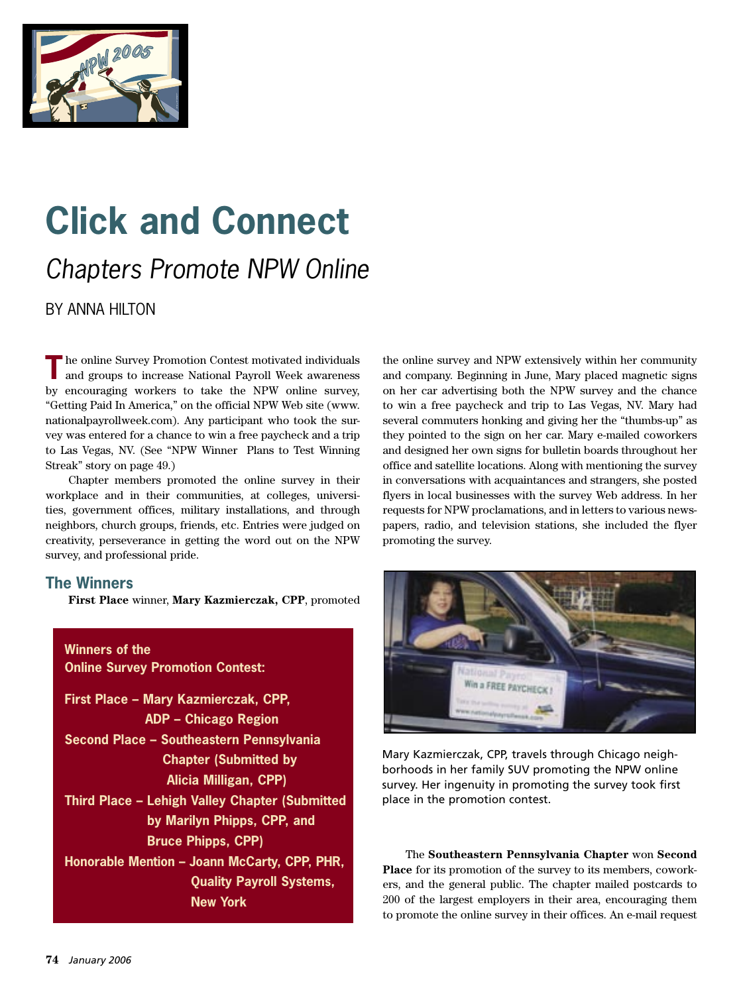

## **Click and Connect** Chapters Promote NPW Online

BY ANNA HILTON

The online Survey Promotion Contest motivated individuals and groups to increase National Payroll Week awareness by encouraging workers to take the NPW online survey, "Getting Paid In America," on the official NPW Web site (www. nationalpayrollweek.com). Any participant who took the survey was entered for a chance to win a free paycheck and a trip to Las Vegas, NV. (See "NPW Winner Plans to Test Winning Streak" story on page 49.)

 Chapter members promoted the online survey in their workplace and in their communities, at colleges, universities, government offices, military installations, and through neighbors, church groups, friends, etc. Entries were judged on creativity, perseverance in getting the word out on the NPW survey, and professional pride.

## **The Winners**

**First Place** winner, **Mary Kazmierczak, CPP**, promoted

**Winners of the Online Survey Promotion Contest: First Place – Mary Kazmierczak, CPP, ADP – Chicago Region Second Place – Southeastern Pennsylvania Chapter (Submitted by Alicia Milligan, CPP) Third Place – Lehigh Valley Chapter (Submitted by Marilyn Phipps, CPP, and Bruce Phipps, CPP) Honorable Mention – Joann McCarty, CPP, PHR, Quality Payroll Systems, New York**

the online survey and NPW extensively within her community and company. Beginning in June, Mary placed magnetic signs on her car advertising both the NPW survey and the chance to win a free paycheck and trip to Las Vegas, NV. Mary had several commuters honking and giving her the "thumbs-up" as they pointed to the sign on her car. Mary e-mailed coworkers and designed her own signs for bulletin boards throughout her office and satellite locations. Along with mentioning the survey in conversations with acquaintances and strangers, she posted flyers in local businesses with the survey Web address. In her requests for NPW proclamations, and in letters to various newspapers, radio, and television stations, she included the flyer promoting the survey.



Mary Kazmierczak, CPP, travels through Chicago neighborhoods in her family SUV promoting the NPW online survey. Her ingenuity in promoting the survey took first place in the promotion contest.

The **Southeastern Pennsylvania Chapter** won **Second Place** for its promotion of the survey to its members, coworkers, and the general public. The chapter mailed postcards to 200 of the largest employers in their area, encouraging them to promote the online survey in their offices. An e-mail request